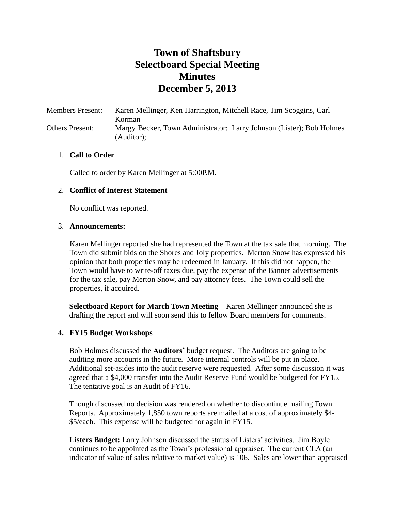# **Town of Shaftsbury Selectboard Special Meeting Minutes December 5, 2013**

Members Present: Karen Mellinger, Ken Harrington, Mitchell Race, Tim Scoggins, Carl Korman Others Present: Margy Becker, Town Administrator; Larry Johnson (Lister); Bob Holmes (Auditor);

#### 1. **Call to Order**

Called to order by Karen Mellinger at 5:00P.M.

#### 2. **Conflict of Interest Statement**

No conflict was reported.

#### 3. **Announcements:**

Karen Mellinger reported she had represented the Town at the tax sale that morning. The Town did submit bids on the Shores and Joly properties. Merton Snow has expressed his opinion that both properties may be redeemed in January. If this did not happen, the Town would have to write-off taxes due, pay the expense of the Banner advertisements for the tax sale, pay Merton Snow, and pay attorney fees. The Town could sell the properties, if acquired.

**Selectboard Report for March Town Meeting** – Karen Mellinger announced she is drafting the report and will soon send this to fellow Board members for comments.

### **4. FY15 Budget Workshops**

Bob Holmes discussed the **Auditors'** budget request. The Auditors are going to be auditing more accounts in the future. More internal controls will be put in place. Additional set-asides into the audit reserve were requested. After some discussion it was agreed that a \$4,000 transfer into the Audit Reserve Fund would be budgeted for FY15. The tentative goal is an Audit of FY16.

Though discussed no decision was rendered on whether to discontinue mailing Town Reports. Approximately 1,850 town reports are mailed at a cost of approximately \$4- \$5/each. This expense will be budgeted for again in FY15.

**Listers Budget:** Larry Johnson discussed the status of Listers' activities. Jim Boyle continues to be appointed as the Town's professional appraiser. The current CLA (an indicator of value of sales relative to market value) is 106. Sales are lower than appraised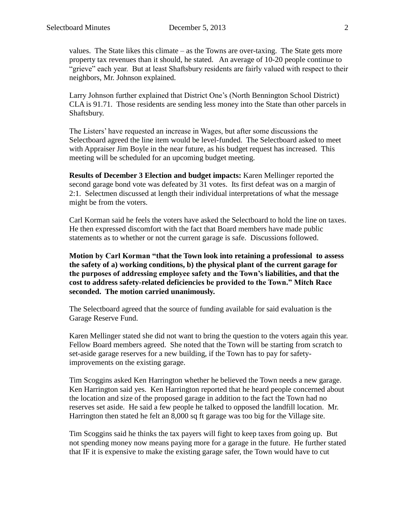values. The State likes this climate – as the Towns are over-taxing. The State gets more property tax revenues than it should, he stated. An average of 10-20 people continue to "grieve" each year. But at least Shaftsbury residents are fairly valued with respect to their neighbors, Mr. Johnson explained.

Larry Johnson further explained that District One's (North Bennington School District) CLA is 91.71. Those residents are sending less money into the State than other parcels in Shaftsbury.

The Listers' have requested an increase in Wages, but after some discussions the Selectboard agreed the line item would be level-funded. The Selectboard asked to meet with Appraiser Jim Boyle in the near future, as his budget request has increased. This meeting will be scheduled for an upcoming budget meeting.

**Results of December 3 Election and budget impacts:** Karen Mellinger reported the second garage bond vote was defeated by 31 votes. Its first defeat was on a margin of 2:1. Selectmen discussed at length their individual interpretations of what the message might be from the voters.

Carl Korman said he feels the voters have asked the Selectboard to hold the line on taxes. He then expressed discomfort with the fact that Board members have made public statements as to whether or not the current garage is safe. Discussions followed.

**Motion by Carl Korman "that the Town look into retaining a professional to assess the safety of a) working conditions, b) the physical plant of the current garage for the purposes of addressing employee safety and the Town's liabilities, and that the cost to address safety-related deficiencies be provided to the Town." Mitch Race seconded. The motion carried unanimously.**

The Selectboard agreed that the source of funding available for said evaluation is the Garage Reserve Fund.

Karen Mellinger stated she did not want to bring the question to the voters again this year. Fellow Board members agreed. She noted that the Town will be starting from scratch to set-aside garage reserves for a new building, if the Town has to pay for safetyimprovements on the existing garage.

Tim Scoggins asked Ken Harrington whether he believed the Town needs a new garage. Ken Harrington said yes. Ken Harrington reported that he heard people concerned about the location and size of the proposed garage in addition to the fact the Town had no reserves set aside. He said a few people he talked to opposed the landfill location. Mr. Harrington then stated he felt an 8,000 sq ft garage was too big for the Village site.

Tim Scoggins said he thinks the tax payers will fight to keep taxes from going up. But not spending money now means paying more for a garage in the future. He further stated that IF it is expensive to make the existing garage safer, the Town would have to cut